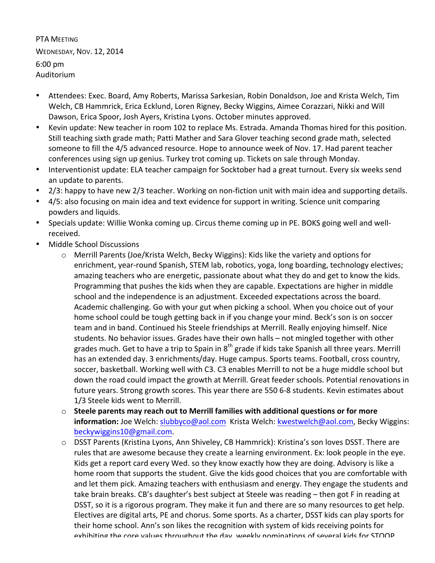PTA MEETING WEDNESDAY, NOV. 12, 2014 6:00 pm Auditorium

- Attendees: Exec. Board, Amy Roberts, Marissa Sarkesian, Robin Donaldson, Joe and Krista Welch, Tim Welch, CB Hammrick, Erica Ecklund, Loren Rigney, Becky Wiggins, Aimee Corazzari, Nikki and Will Dawson, Erica Spoor, Josh Ayers, Kristina Lyons. October minutes approved.
- Kevin update: New teacher in room 102 to replace Ms. Estrada. Amanda Thomas hired for this position. Still teaching sixth grade math; Patti Mather and Sara Glover teaching second grade math, selected someone to fill the 4/5 advanced resource. Hope to announce week of Nov. 17. Had parent teacher conferences using sign up genius. Turkey trot coming up. Tickets on sale through Monday.
- Interventionist update: ELA teacher campaign for Socktober had a great turnout. Every six weeks send an update to parents.
- 2/3: happy to have new 2/3 teacher. Working on non-fiction unit with main idea and supporting details.
- 4/5: also focusing on main idea and text evidence for support in writing. Science unit comparing powders and liquids.
- Specials update: Willie Wonka coming up. Circus theme coming up in PE. BOKS going well and wellreceived.
- Middle School Discussions
	- $\circ$  Merrill Parents (Joe/Krista Welch, Becky Wiggins): Kids like the variety and options for enrichment, year-round Spanish, STEM lab, robotics, yoga, long boarding, technology electives; amazing teachers who are energetic, passionate about what they do and get to know the kids. Programming that pushes the kids when they are capable. Expectations are higher in middle school and the independence is an adjustment. Exceeded expectations across the board. Academic challenging. Go with your gut when picking a school. When you choice out of your home school could be tough getting back in if you change your mind. Beck's son is on soccer team and in band. Continued his Steele friendships at Merrill. Really enjoying himself. Nice students. No behavior issues. Grades have their own halls - not mingled together with other grades much. Get to have a trip to Spain in  $8^{th}$  grade if kids take Spanish all three years. Merrill has an extended day. 3 enrichments/day. Huge campus. Sports teams. Football, cross country, soccer, basketball. Working well with C3. C3 enables Merrill to not be a huge middle school but down the road could impact the growth at Merrill. Great feeder schools. Potential renovations in future years. Strong growth scores. This year there are 550 6-8 students. Kevin estimates about 1/3 Steele kids went to Merrill.
	- $\circ$  Steele parents may reach out to Merrill families with additional questions or for more information: Joe Welch: slubbyco@aol.com Krista Welch: kwestwelch@aol.com, Becky Wiggins: beckywiggins10@gmail.com.
	- $\circ$  DSST Parents (Kristina Lyons, Ann Shiveley, CB Hammrick): Kristina's son loves DSST. There are rules that are awesome because they create a learning environment. Ex: look people in the eye. Kids get a report card every Wed. so they know exactly how they are doing. Advisory is like a home room that supports the student. Give the kids good choices that you are comfortable with and let them pick. Amazing teachers with enthusiasm and energy. They engage the students and take brain breaks. CB's daughter's best subject at Steele was reading – then got F in reading at DSST, so it is a rigorous program. They make it fun and there are so many resources to get help. Electives are digital arts, PE and chorus. Some sports. As a charter, DSST kids can play sports for their home school. Ann's son likes the recognition with system of kids receiving points for exhibiting the core values throughout the day, weekly nominations of several kids for STOOP